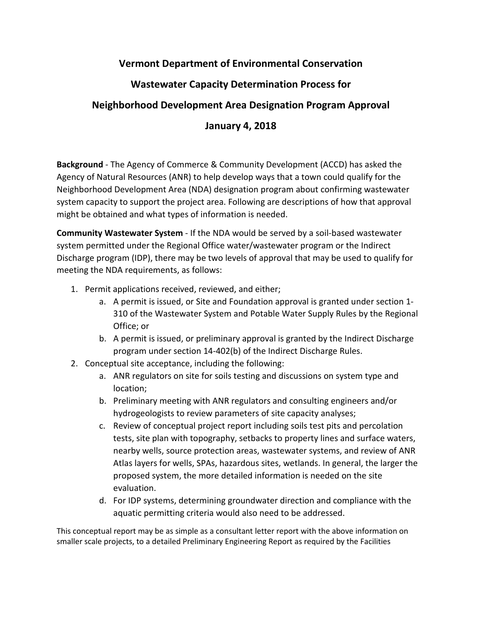## **Vermont Department of Environmental Conservation**

## **Wastewater Capacity Determination Process for**

## **Neighborhood Development Area Designation Program Approval**

## **January 4, 2018**

**Background** - The Agency of Commerce & Community Development (ACCD) has asked the Agency of Natural Resources (ANR) to help develop ways that a town could qualify for the Neighborhood Development Area (NDA) designation program about confirming wastewater system capacity to support the project area. Following are descriptions of how that approval might be obtained and what types of information is needed.

**Community Wastewater System** - If the NDA would be served by a soil-based wastewater system permitted under the Regional Office water/wastewater program or the Indirect Discharge program (IDP), there may be two levels of approval that may be used to qualify for meeting the NDA requirements, as follows:

- 1. Permit applications received, reviewed, and either;
	- a. A permit is issued, or Site and Foundation approval is granted under section 1- 310 of the Wastewater System and Potable Water Supply Rules by the Regional Office; or
	- b. A permit is issued, or preliminary approval is granted by the Indirect Discharge program under section 14-402(b) of the Indirect Discharge Rules.
- 2. Conceptual site acceptance, including the following:
	- a. ANR regulators on site for soils testing and discussions on system type and location;
	- b. Preliminary meeting with ANR regulators and consulting engineers and/or hydrogeologists to review parameters of site capacity analyses;
	- c. Review of conceptual project report including soils test pits and percolation tests, site plan with topography, setbacks to property lines and surface waters, nearby wells, source protection areas, wastewater systems, and review of ANR Atlas layers for wells, SPAs, hazardous sites, wetlands. In general, the larger the proposed system, the more detailed information is needed on the site evaluation.
	- d. For IDP systems, determining groundwater direction and compliance with the aquatic permitting criteria would also need to be addressed.

This conceptual report may be as simple as a consultant letter report with the above information on smaller scale projects, to a detailed Preliminary Engineering Report as required by the Facilities